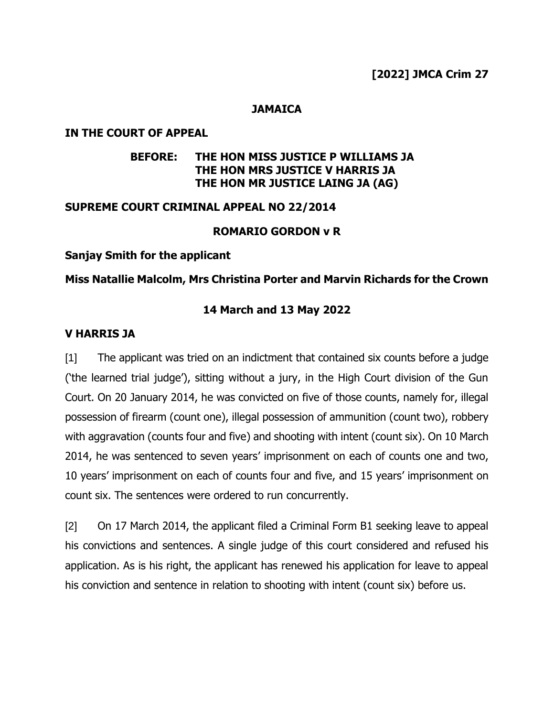# **[2022] JMCA Crim 27**

### **JAMAICA**

#### **IN THE COURT OF APPEAL**

## **BEFORE: THE HON MISS JUSTICE P WILLIAMS JA THE HON MRS JUSTICE V HARRIS JA THE HON MR JUSTICE LAING JA (AG)**

#### **SUPREME COURT CRIMINAL APPEAL NO 22/2014**

## **ROMARIO GORDON v R**

#### **Sanjay Smith for the applicant**

#### **Miss Natallie Malcolm, Mrs Christina Porter and Marvin Richards for the Crown**

#### **14 March and 13 May 2022**

#### **V HARRIS JA**

[1] The applicant was tried on an indictment that contained six counts before a judge ('the learned trial judge'), sitting without a jury, in the High Court division of the Gun Court. On 20 January 2014, he was convicted on five of those counts, namely for, illegal possession of firearm (count one), illegal possession of ammunition (count two), robbery with aggravation (counts four and five) and shooting with intent (count six). On 10 March 2014, he was sentenced to seven years' imprisonment on each of counts one and two, 10 years' imprisonment on each of counts four and five, and 15 years' imprisonment on count six. The sentences were ordered to run concurrently.

[2] On 17 March 2014, the applicant filed a Criminal Form B1 seeking leave to appeal his convictions and sentences. A single judge of this court considered and refused his application. As is his right, the applicant has renewed his application for leave to appeal his conviction and sentence in relation to shooting with intent (count six) before us.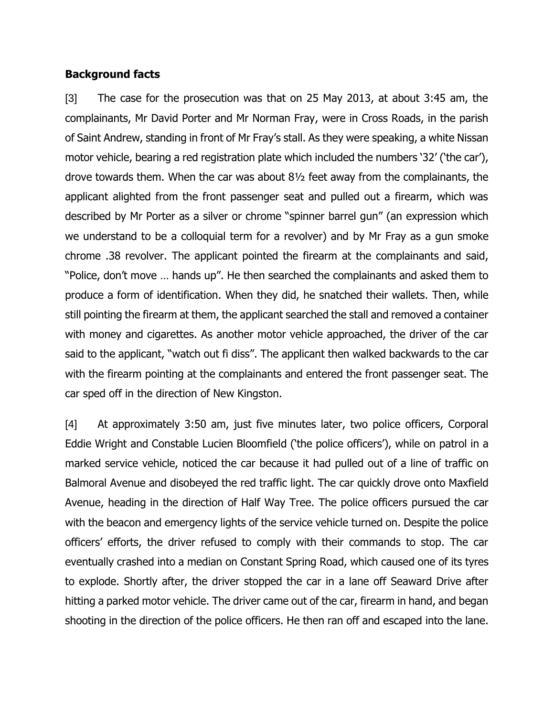## **Background facts**

[3] The case for the prosecution was that on 25 May 2013, at about 3:45 am, the complainants, Mr David Porter and Mr Norman Fray, were in Cross Roads, in the parish of Saint Andrew, standing in front of Mr Fray's stall. As they were speaking, a white Nissan motor vehicle, bearing a red registration plate which included the numbers '32' ('the car'), drove towards them. When the car was about 8½ feet away from the complainants, the applicant alighted from the front passenger seat and pulled out a firearm, which was described by Mr Porter as a silver or chrome "spinner barrel gun" (an expression which we understand to be a colloquial term for a revolver) and by Mr Fray as a gun smoke chrome .38 revolver. The applicant pointed the firearm at the complainants and said, "Police, don't move … hands up". He then searched the complainants and asked them to produce a form of identification. When they did, he snatched their wallets. Then, while still pointing the firearm at them, the applicant searched the stall and removed a container with money and cigarettes. As another motor vehicle approached, the driver of the car said to the applicant, "watch out fi diss". The applicant then walked backwards to the car with the firearm pointing at the complainants and entered the front passenger seat. The car sped off in the direction of New Kingston.

[4] At approximately 3:50 am, just five minutes later, two police officers, Corporal Eddie Wright and Constable Lucien Bloomfield ('the police officers'), while on patrol in a marked service vehicle, noticed the car because it had pulled out of a line of traffic on Balmoral Avenue and disobeyed the red traffic light. The car quickly drove onto Maxfield Avenue, heading in the direction of Half Way Tree. The police officers pursued the car with the beacon and emergency lights of the service vehicle turned on. Despite the police officers' efforts, the driver refused to comply with their commands to stop. The car eventually crashed into a median on Constant Spring Road, which caused one of its tyres to explode. Shortly after, the driver stopped the car in a lane off Seaward Drive after hitting a parked motor vehicle. The driver came out of the car, firearm in hand, and began shooting in the direction of the police officers. He then ran off and escaped into the lane.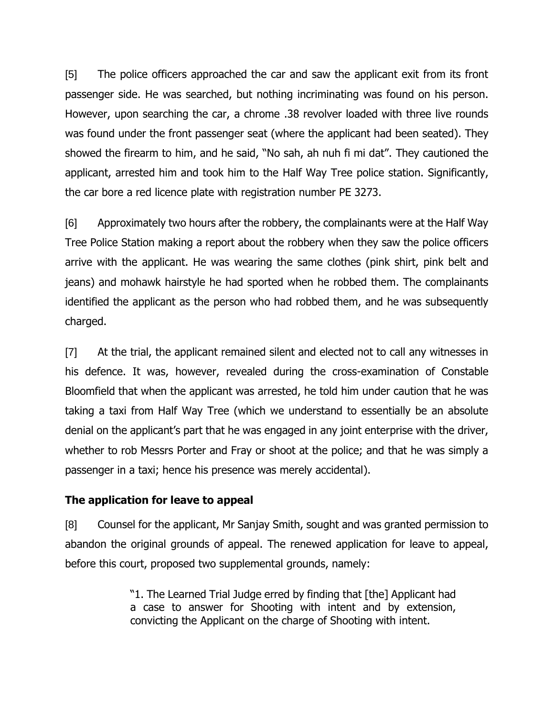[5] The police officers approached the car and saw the applicant exit from its front passenger side. He was searched, but nothing incriminating was found on his person. However, upon searching the car, a chrome .38 revolver loaded with three live rounds was found under the front passenger seat (where the applicant had been seated). They showed the firearm to him, and he said, "No sah, ah nuh fi mi dat". They cautioned the applicant, arrested him and took him to the Half Way Tree police station. Significantly, the car bore a red licence plate with registration number PE 3273.

[6] Approximately two hours after the robbery, the complainants were at the Half Way Tree Police Station making a report about the robbery when they saw the police officers arrive with the applicant. He was wearing the same clothes (pink shirt, pink belt and jeans) and mohawk hairstyle he had sported when he robbed them. The complainants identified the applicant as the person who had robbed them, and he was subsequently charged.

[7] At the trial, the applicant remained silent and elected not to call any witnesses in his defence. It was, however, revealed during the cross-examination of Constable Bloomfield that when the applicant was arrested, he told him under caution that he was taking a taxi from Half Way Tree (which we understand to essentially be an absolute denial on the applicant's part that he was engaged in any joint enterprise with the driver, whether to rob Messrs Porter and Fray or shoot at the police; and that he was simply a passenger in a taxi; hence his presence was merely accidental).

## **The application for leave to appeal**

[8] Counsel for the applicant, Mr Sanjay Smith, sought and was granted permission to abandon the original grounds of appeal. The renewed application for leave to appeal, before this court, proposed two supplemental grounds, namely:

> "1. The Learned Trial Judge erred by finding that [the] Applicant had a case to answer for Shooting with intent and by extension, convicting the Applicant on the charge of Shooting with intent.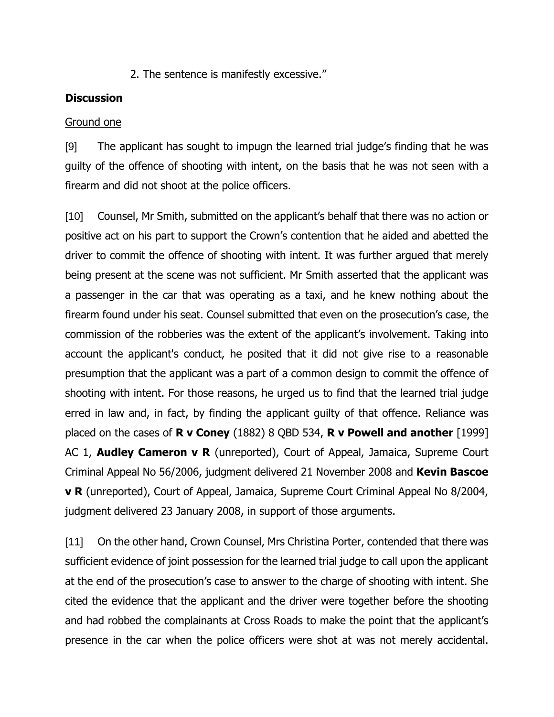2. The sentence is manifestly excessive."

## **Discussion**

## Ground one

[9] The applicant has sought to impugn the learned trial judge's finding that he was guilty of the offence of shooting with intent, on the basis that he was not seen with a firearm and did not shoot at the police officers.

[10] Counsel, Mr Smith, submitted on the applicant's behalf that there was no action or positive act on his part to support the Crown's contention that he aided and abetted the driver to commit the offence of shooting with intent. It was further argued that merely being present at the scene was not sufficient. Mr Smith asserted that the applicant was a passenger in the car that was operating as a taxi, and he knew nothing about the firearm found under his seat. Counsel submitted that even on the prosecution's case, the commission of the robberies was the extent of the applicant's involvement. Taking into account the applicant's conduct, he posited that it did not give rise to a reasonable presumption that the applicant was a part of a common design to commit the offence of shooting with intent. For those reasons, he urged us to find that the learned trial judge erred in law and, in fact, by finding the applicant guilty of that offence. Reliance was placed on the cases of **R v Coney** (1882) 8 QBD 534, **R v Powell and another** [1999] AC 1, **Audley Cameron v R** (unreported), Court of Appeal, Jamaica, Supreme Court Criminal Appeal No 56/2006, judgment delivered 21 November 2008 and **Kevin Bascoe v R** (unreported), Court of Appeal, Jamaica, Supreme Court Criminal Appeal No 8/2004, judgment delivered 23 January 2008, in support of those arguments.

[11] On the other hand, Crown Counsel, Mrs Christina Porter, contended that there was sufficient evidence of joint possession for the learned trial judge to call upon the applicant at the end of the prosecution's case to answer to the charge of shooting with intent. She cited the evidence that the applicant and the driver were together before the shooting and had robbed the complainants at Cross Roads to make the point that the applicant's presence in the car when the police officers were shot at was not merely accidental.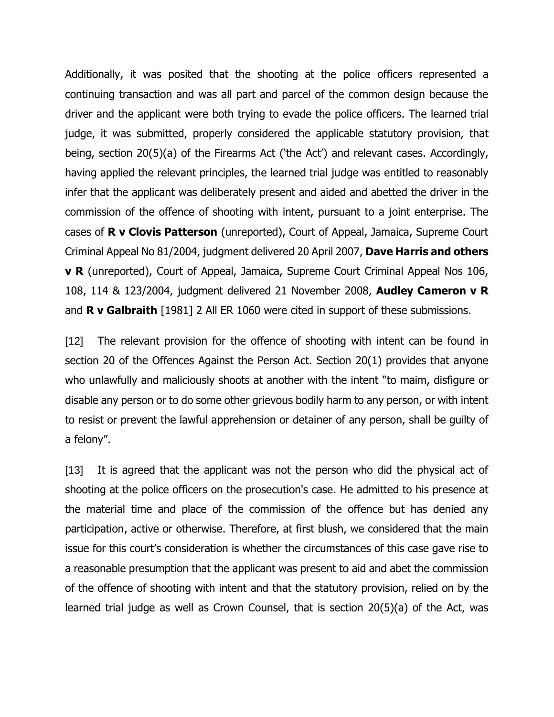Additionally, it was posited that the shooting at the police officers represented a continuing transaction and was all part and parcel of the common design because the driver and the applicant were both trying to evade the police officers. The learned trial judge, it was submitted, properly considered the applicable statutory provision, that being, section 20(5)(a) of the Firearms Act ('the Act') and relevant cases. Accordingly, having applied the relevant principles, the learned trial judge was entitled to reasonably infer that the applicant was deliberately present and aided and abetted the driver in the commission of the offence of shooting with intent, pursuant to a joint enterprise. The cases of **R v Clovis Patterson** (unreported), Court of Appeal, Jamaica, Supreme Court Criminal Appeal No 81/2004, judgment delivered 20 April 2007, **Dave Harris and others v R** (unreported), Court of Appeal, Jamaica, Supreme Court Criminal Appeal Nos 106, 108, 114 & 123/2004, judgment delivered 21 November 2008, **Audley Cameron v R** and **R v Galbraith** [1981] 2 All ER 1060 were cited in support of these submissions.

[12] The relevant provision for the offence of shooting with intent can be found in section 20 of the Offences Against the Person Act. Section 20(1) provides that anyone who unlawfully and maliciously shoots at another with the intent "to maim, disfigure or disable any person or to do some other grievous bodily harm to any person, or with intent to resist or prevent the lawful apprehension or detainer of any person, shall be guilty of a felony".

[13] It is agreed that the applicant was not the person who did the physical act of shooting at the police officers on the prosecution's case. He admitted to his presence at the material time and place of the commission of the offence but has denied any participation, active or otherwise. Therefore, at first blush, we considered that the main issue for this court's consideration is whether the circumstances of this case gave rise to a reasonable presumption that the applicant was present to aid and abet the commission of the offence of shooting with intent and that the statutory provision, relied on by the learned trial judge as well as Crown Counsel, that is section 20(5)(a) of the Act, was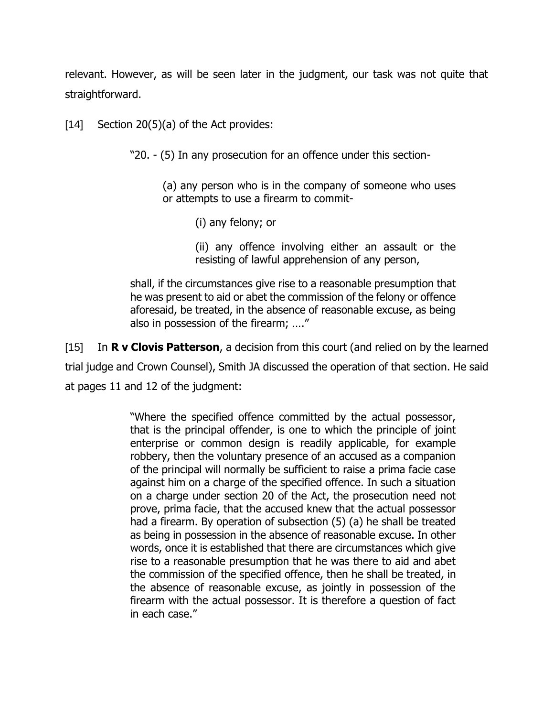relevant. However, as will be seen later in the judgment, our task was not quite that straightforward.

[14] Section 20(5)(a) of the Act provides:

"20. - (5) In any prosecution for an offence under this section-

(a) any person who is in the company of someone who uses or attempts to use a firearm to commit-

(i) any felony; or

(ii) any offence involving either an assault or the resisting of lawful apprehension of any person,

shall, if the circumstances give rise to a reasonable presumption that he was present to aid or abet the commission of the felony or offence aforesaid, be treated, in the absence of reasonable excuse, as being also in possession of the firearm; …."

[15] In **R v Clovis Patterson**, a decision from this court (and relied on by the learned trial judge and Crown Counsel), Smith JA discussed the operation of that section. He said at pages 11 and 12 of the judgment:

> "Where the specified offence committed by the actual possessor, that is the principal offender, is one to which the principle of joint enterprise or common design is readily applicable, for example robbery, then the voluntary presence of an accused as a companion of the principal will normally be sufficient to raise a prima facie case against him on a charge of the specified offence. In such a situation on a charge under section 20 of the Act, the prosecution need not prove, prima facie, that the accused knew that the actual possessor had a firearm. By operation of subsection (5) (a) he shall be treated as being in possession in the absence of reasonable excuse. In other words, once it is established that there are circumstances which give rise to a reasonable presumption that he was there to aid and abet the commission of the specified offence, then he shall be treated, in the absence of reasonable excuse, as jointly in possession of the firearm with the actual possessor. It is therefore a question of fact in each case."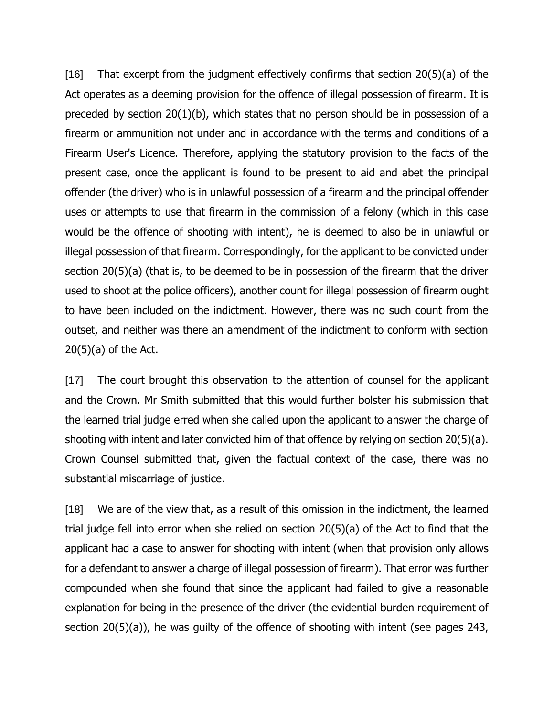[16] That excerpt from the judgment effectively confirms that section 20(5)(a) of the Act operates as a deeming provision for the offence of illegal possession of firearm. It is preceded by section 20(1)(b), which states that no person should be in possession of a firearm or ammunition not under and in accordance with the terms and conditions of a Firearm User's Licence. Therefore, applying the statutory provision to the facts of the present case, once the applicant is found to be present to aid and abet the principal offender (the driver) who is in unlawful possession of a firearm and the principal offender uses or attempts to use that firearm in the commission of a felony (which in this case would be the offence of shooting with intent), he is deemed to also be in unlawful or illegal possession of that firearm. Correspondingly, for the applicant to be convicted under section 20(5)(a) (that is, to be deemed to be in possession of the firearm that the driver used to shoot at the police officers), another count for illegal possession of firearm ought to have been included on the indictment. However, there was no such count from the outset, and neither was there an amendment of the indictment to conform with section  $20(5)(a)$  of the Act.

[17] The court brought this observation to the attention of counsel for the applicant and the Crown. Mr Smith submitted that this would further bolster his submission that the learned trial judge erred when she called upon the applicant to answer the charge of shooting with intent and later convicted him of that offence by relying on section 20(5)(a). Crown Counsel submitted that, given the factual context of the case, there was no substantial miscarriage of justice.

[18] We are of the view that, as a result of this omission in the indictment, the learned trial judge fell into error when she relied on section 20(5)(a) of the Act to find that the applicant had a case to answer for shooting with intent (when that provision only allows for a defendant to answer a charge of illegal possession of firearm). That error was further compounded when she found that since the applicant had failed to give a reasonable explanation for being in the presence of the driver (the evidential burden requirement of section 20(5)(a)), he was guilty of the offence of shooting with intent (see pages 243,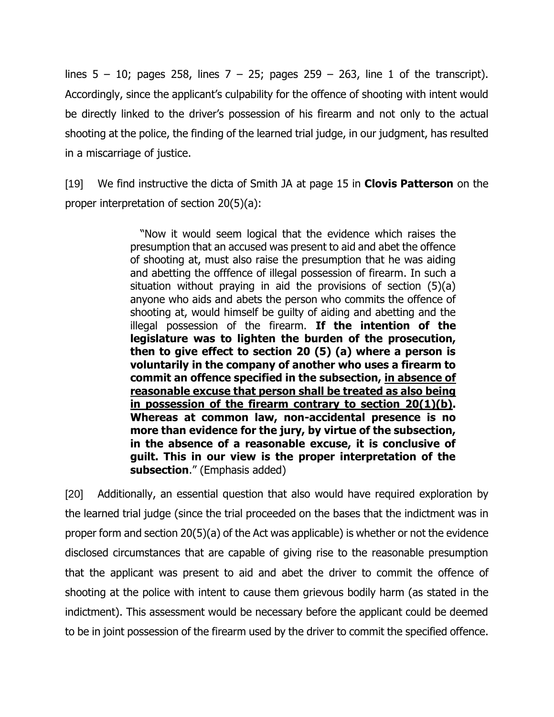lines  $5 - 10$ ; pages 258, lines  $7 - 25$ ; pages 259 – 263, line 1 of the transcript). Accordingly, since the applicant's culpability for the offence of shooting with intent would be directly linked to the driver's possession of his firearm and not only to the actual shooting at the police, the finding of the learned trial judge, in our judgment, has resulted in a miscarriage of justice.

[19] We find instructive the dicta of Smith JA at page 15 in **Clovis Patterson** on the proper interpretation of section 20(5)(a):

> "Now it would seem logical that the evidence which raises the presumption that an accused was present to aid and abet the offence of shooting at, must also raise the presumption that he was aiding and abetting the offfence of illegal possession of firearm. In such a situation without praying in aid the provisions of section (5)(a) anyone who aids and abets the person who commits the offence of shooting at, would himself be guilty of aiding and abetting and the illegal possession of the firearm. **If the intention of the legislature was to lighten the burden of the prosecution, then to give effect to section 20 (5) (a) where a person is voluntarily in the company of another who uses a firearm to commit an offence specified in the subsection, in absence of reasonable excuse that person shall be treated as also being in possession of the firearm contrary to section 20(1)(b). Whereas at common law, non-accidental presence is no more than evidence for the jury, by virtue of the subsection, in the absence of a reasonable excuse, it is conclusive of guilt. This in our view is the proper interpretation of the subsection**." (Emphasis added)

[20] Additionally, an essential question that also would have required exploration by the learned trial judge (since the trial proceeded on the bases that the indictment was in proper form and section 20(5)(a) of the Act was applicable) is whether or not the evidence disclosed circumstances that are capable of giving rise to the reasonable presumption that the applicant was present to aid and abet the driver to commit the offence of shooting at the police with intent to cause them grievous bodily harm (as stated in the indictment). This assessment would be necessary before the applicant could be deemed to be in joint possession of the firearm used by the driver to commit the specified offence.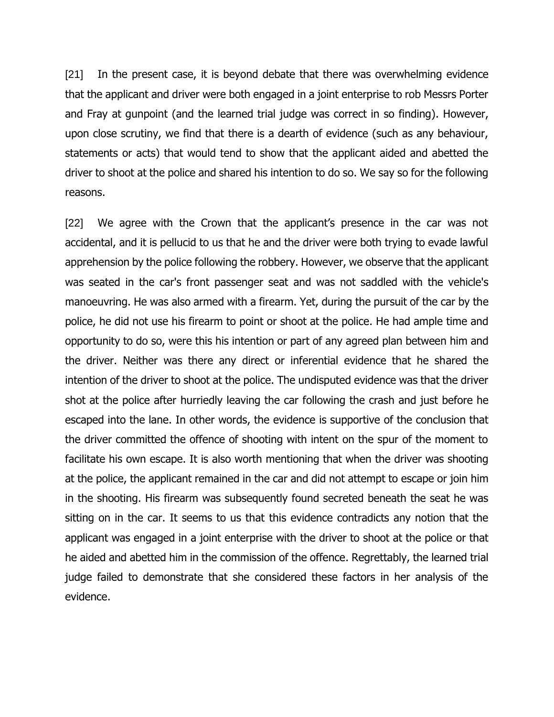[21] In the present case, it is beyond debate that there was overwhelming evidence that the applicant and driver were both engaged in a joint enterprise to rob Messrs Porter and Fray at gunpoint (and the learned trial judge was correct in so finding). However, upon close scrutiny, we find that there is a dearth of evidence (such as any behaviour, statements or acts) that would tend to show that the applicant aided and abetted the driver to shoot at the police and shared his intention to do so. We say so for the following reasons.

[22] We agree with the Crown that the applicant's presence in the car was not accidental, and it is pellucid to us that he and the driver were both trying to evade lawful apprehension by the police following the robbery. However, we observe that the applicant was seated in the car's front passenger seat and was not saddled with the vehicle's manoeuvring. He was also armed with a firearm. Yet, during the pursuit of the car by the police, he did not use his firearm to point or shoot at the police. He had ample time and opportunity to do so, were this his intention or part of any agreed plan between him and the driver. Neither was there any direct or inferential evidence that he shared the intention of the driver to shoot at the police. The undisputed evidence was that the driver shot at the police after hurriedly leaving the car following the crash and just before he escaped into the lane. In other words, the evidence is supportive of the conclusion that the driver committed the offence of shooting with intent on the spur of the moment to facilitate his own escape. It is also worth mentioning that when the driver was shooting at the police, the applicant remained in the car and did not attempt to escape or join him in the shooting. His firearm was subsequently found secreted beneath the seat he was sitting on in the car. It seems to us that this evidence contradicts any notion that the applicant was engaged in a joint enterprise with the driver to shoot at the police or that he aided and abetted him in the commission of the offence. Regrettably, the learned trial judge failed to demonstrate that she considered these factors in her analysis of the evidence.